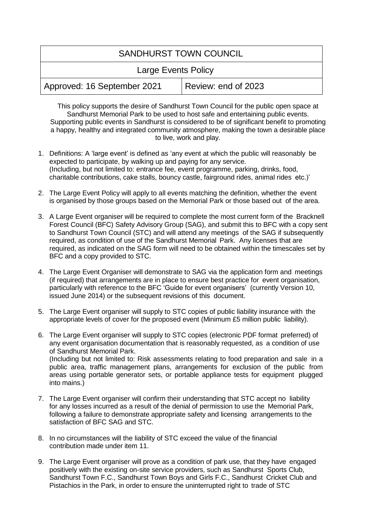## SANDHURST TOWN COUNCIL

|  | <b>Large Events Policy</b> |  |
|--|----------------------------|--|
|--|----------------------------|--|

|  | Approved: 16 September 2021 | Review: end of 2023 |
|--|-----------------------------|---------------------|
|--|-----------------------------|---------------------|

This policy supports the desire of Sandhurst Town Council for the public open space at Sandhurst Memorial Park to be used to host safe and entertaining public events. Supporting public events in Sandhurst is considered to be of significant benefit to promoting a happy, healthy and integrated community atmosphere, making the town a desirable place to live, work and play.

- 1. Definitions: A 'large event' is defined as 'any event at which the public will reasonably be expected to participate, by walking up and paying for any service. (Including, but not limited to: entrance fee, event programme, parking, drinks, food, charitable contributions, cake stalls, bouncy castle, fairground rides, animal rides etc.)'
- 2. The Large Event Policy will apply to all events matching the definition, whether the event is organised by those groups based on the Memorial Park or those based out of the area.
- 3. A Large Event organiser will be required to complete the most current form of the Bracknell Forest Council (BFC) Safety Advisory Group (SAG), and submit this to BFC with a copy sent to Sandhurst Town Council (STC) and will attend any meetings of the SAG if subsequently required, as condition of use of the Sandhurst Memorial Park. Any licenses that are required, as indicated on the SAG form will need to be obtained within the timescales set by BFC and a copy provided to STC.
- 4. The Large Event Organiser will demonstrate to SAG via the application form and meetings (if required) that arrangements are in place to ensure best practice for event organisation, particularly with reference to the BFC 'Guide for event organisers' (currently Version 10, issued June 2014) or the subsequent revisions of this document.
- 5. The Large Event organiser will supply to STC copies of public liability insurance with the appropriate levels of cover for the proposed event (Minimum £5 million public liability).
- 6. The Large Event organiser will supply to STC copies (electronic PDF format preferred) of any event organisation documentation that is reasonably requested, as a condition of use of Sandhurst Memorial Park. (Including but not limited to: Risk assessments relating to food preparation and sale in a public area, traffic management plans, arrangements for exclusion of the public from areas using portable generator sets, or portable appliance tests for equipment plugged into mains.)
- 7. The Large Event organiser will confirm their understanding that STC accept no liability for any losses incurred as a result of the denial of permission to use the Memorial Park, following a failure to demonstrate appropriate safety and licensing arrangements to the satisfaction of BFC SAG and STC.
- 8. In no circumstances will the liability of STC exceed the value of the financial contribution made under item 11.
- 9. The Large Event organiser will prove as a condition of park use, that they have engaged positively with the existing on-site service providers, such as Sandhurst Sports Club, Sandhurst Town F.C., Sandhurst Town Boys and Girls F.C., Sandhurst Cricket Club and Pistachios in the Park, in order to ensure the uninterrupted right to trade of STC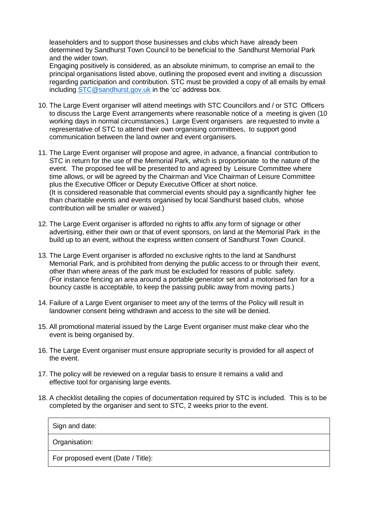leaseholders and to support those businesses and clubs which have already been determined by Sandhurst Town Council to be beneficial to the Sandhurst Memorial Park and the wider town.

Engaging positively is considered, as an absolute minimum, to comprise an email to the principal organisations listed above, outlining the proposed event and inviting a discussion regarding participation and contribution. STC must be provided a copy of all emails by email including [STC@sandhurst.gov.uk](mailto:STC@sandhurst.gov.uk) in the 'cc' address box.

- 10. The Large Event organiser will attend meetings with STC Councillors and / or STC Officers to discuss the Large Event arrangements where reasonable notice of a meeting is given (10 working days in normal circumstances.) Large Event organisers are requested to invite a representative of STC to attend their own organising committees, to support good communication between the land owner and event organisers.
- 11. The Large Event organiser will propose and agree, in advance, a financial contribution to STC in return for the use of the Memorial Park, which is proportionate to the nature of the event. The proposed fee will be presented to and agreed by Leisure Committee where time allows, or will be agreed by the Chairman and Vice Chairman of Leisure Committee plus the Executive Officer or Deputy Executive Officer at short notice. (It is considered reasonable that commercial events should pay a significantly higher fee than charitable events and events organised by local Sandhurst based clubs, whose contribution will be smaller or waived.)
- 12. The Large Event organiser is afforded no rights to affix any form of signage or other advertising, either their own or that of event sponsors, on land at the Memorial Park in the build up to an event, without the express written consent of Sandhurst Town Council.
- 13. The Large Event organiser is afforded no exclusive rights to the land at Sandhurst Memorial Park, and is prohibited from denying the public access to or through their event, other than where areas of the park must be excluded for reasons of public safety. (For instance fencing an area around a portable generator set and a motorised fan for a bouncy castle is acceptable, to keep the passing public away from moving parts.)
- 14. Failure of a Large Event organiser to meet any of the terms of the Policy will result in landowner consent being withdrawn and access to the site will be denied.
- 15. All promotional material issued by the Large Event organiser must make clear who the event is being organised by.
- 16. The Large Event organiser must ensure appropriate security is provided for all aspect of the event.
- 17. The policy will be reviewed on a regular basis to ensure it remains a valid and effective tool for organising large events.
- 18. A checklist detailing the copies of documentation required by STC is included. This is to be completed by the organiser and sent to STC, 2 weeks prior to the event.

| Sign and date:                     |
|------------------------------------|
| Organisation:                      |
| For proposed event (Date / Title): |